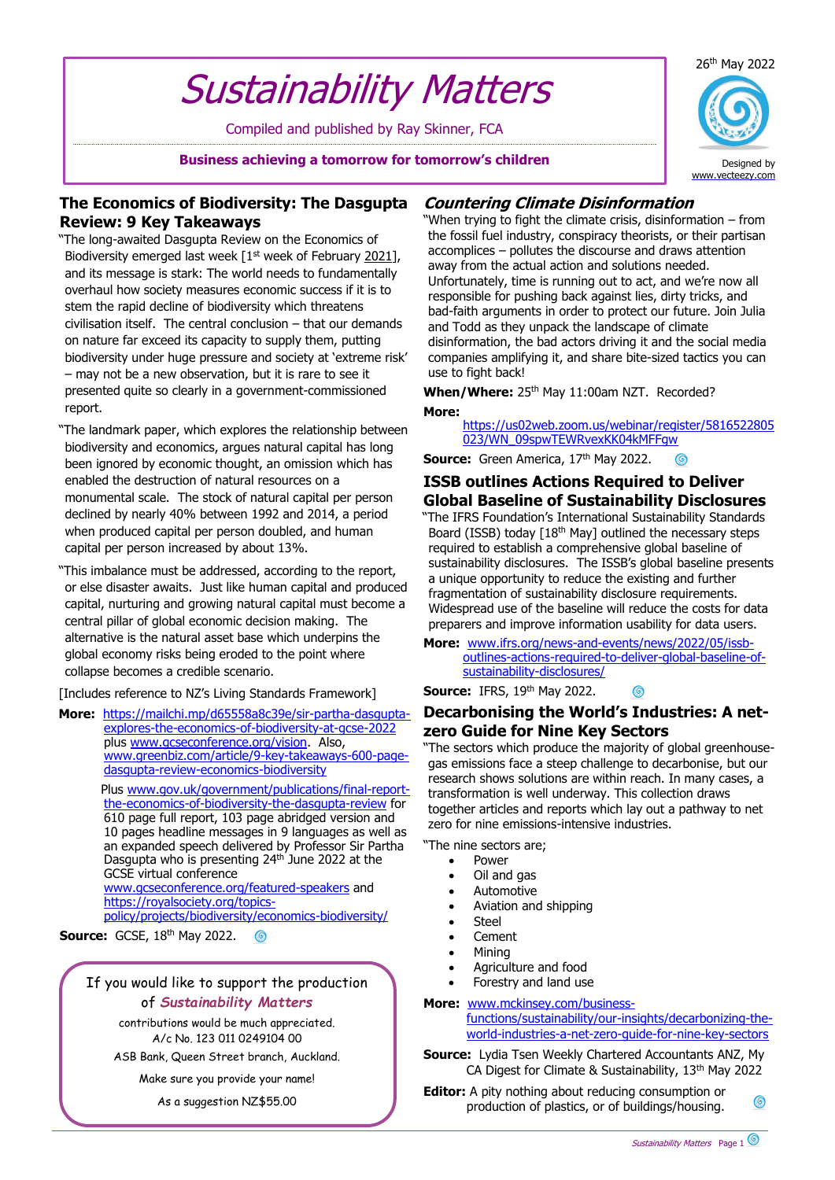# Sustainability Matters

Compiled and published by Ray Skinner, FCA

**Business achieving a tomorrow for tomorrow's children**



Designed by [www.vecteezy.com](http://www.vecteezy.com/)

## **The Economics of Biodiversity: The Dasgupta Review: 9 Key Takeaways**

"The long-awaited Dasgupta Review on the Economics of Biodiversity emerged last week [1<sup>st</sup> week of February 2021], and its message is stark: The world needs to fundamentally overhaul how society measures economic success if it is to stem the rapid decline of biodiversity which threatens civilisation itself. The central conclusion – that our demands on nature far exceed its capacity to supply them, putting biodiversity under huge pressure and society at 'extreme risk' – may not be a new observation, but it is rare to see it presented quite so clearly in a government-commissioned report.

"The landmark paper, which explores the relationship between biodiversity and economics, argues natural capital has long been ignored by economic thought, an omission which has enabled the destruction of natural resources on a monumental scale. The stock of natural capital per person declined by nearly 40% between 1992 and 2014, a period when produced capital per person doubled, and human capital per person increased by about 13%.

"This imbalance must be addressed, according to the report, or else disaster awaits. Just like human capital and produced capital, nurturing and growing natural capital must become a central pillar of global economic decision making. The alternative is the natural asset base which underpins the global economy risks being eroded to the point where collapse becomes a credible scenario.

[Includes reference to NZ's Living Standards Framework]

**More:** [https://mailchi.mp/d65558a8c39e/sir-partha-dasgupta](https://mailchi.mp/d65558a8c39e/sir-partha-dasgupta-explores-the-economics-of-biodiversity-at-gcse-2022)[explores-the-economics-of-biodiversity-at-gcse-2022](https://mailchi.mp/d65558a8c39e/sir-partha-dasgupta-explores-the-economics-of-biodiversity-at-gcse-2022) plus [www.gcseconference.org/vision.](http://www.gcseconference.org/vision) Also, [www.greenbiz.com/article/9-key-takeaways-600-page](http://www.greenbiz.com/article/9-key-takeaways-600-page-dasgupta-review-economics-biodiversity)[dasgupta-review-economics-biodiversity](http://www.greenbiz.com/article/9-key-takeaways-600-page-dasgupta-review-economics-biodiversity)

> Plus [www.gov.uk/government/publications/final-report](http://www.gov.uk/government/publications/final-report-the-economics-of-biodiversity-the-dasgupta-review)[the-economics-of-biodiversity-the-dasgupta-review](http://www.gov.uk/government/publications/final-report-the-economics-of-biodiversity-the-dasgupta-review) for 610 page full report, 103 page abridged version and 10 pages headline messages in 9 languages as well as an expanded speech delivered by Professor Sir Partha Dasgupta who is presenting 24<sup>th</sup> June 2022 at the GCSE virtual conference

[www.gcseconference.org/featured-speakers](http://www.gcseconference.org/featured-speakers) and [https://royalsociety.org/topics](https://royalsociety.org/topics-policy/projects/biodiversity/economics-biodiversity/)[policy/projects/biodiversity/economics-biodiversity/](https://royalsociety.org/topics-policy/projects/biodiversity/economics-biodiversity/)

**Source: GCSE, 18th May 2022.** 6

> If you would like to support the production of *Sustainability Matters*

> > contributions would be much appreciated. A/c No. 123 011 0249104 00

ASB Bank, Queen Street branch, Auckland.

Make sure you provide your name! As a suggestion NZ\$55.00

# **Countering Climate Disinformation**

"When trying to fight the climate crisis, disinformation – from the fossil fuel industry, conspiracy theorists, or their partisan accomplices – pollutes the discourse and draws attention away from the actual action and solutions needed. Unfortunately, time is running out to act, and we're now all responsible for pushing back against lies, dirty tricks, and bad-faith arguments in order to protect our future. Join Julia and Todd as they unpack the landscape of climate disinformation, the bad actors driving it and the social media companies amplifying it, and share bite-sized tactics you can use to fight back!

When/Where: 25<sup>th</sup> May 11:00am NZT. Recorded? **More:**

> [https://us02web.zoom.us/webinar/register/5816522805](https://us02web.zoom.us/webinar/register/5816522805023/WN_09spwTEWRvexKK04kMFFgw#S) [023/WN\\_09spwTEWRvexKK04kMFFgw](https://us02web.zoom.us/webinar/register/5816522805023/WN_09spwTEWRvexKK04kMFFgw#S)

**Source:** Green America, 17<sup>th</sup> May 2022. ര

## **ISSB outlines Actions Required to Deliver Global Baseline of Sustainability Disclosures**

"The IFRS Foundation's International Sustainability Standards Board (ISSB) today [18<sup>th</sup> May] outlined the necessary steps required to establish a comprehensive global baseline of sustainability disclosures. The ISSB's global baseline presents a unique opportunity to reduce the existing and further fragmentation of sustainability disclosure requirements. Widespread use of the baseline will reduce the costs for data preparers and improve information usability for data users.

**More:** [www.ifrs.org/news-and-events/news/2022/05/issb](http://www.ifrs.org/news-and-events/news/2022/05/issb-outlines-actions-required-to-deliver-global-baseline-of-sustainability-disclosures/)[outlines-actions-required-to-deliver-global-baseline-of](http://www.ifrs.org/news-and-events/news/2022/05/issb-outlines-actions-required-to-deliver-global-baseline-of-sustainability-disclosures/)[sustainability-disclosures/](http://www.ifrs.org/news-and-events/news/2022/05/issb-outlines-actions-required-to-deliver-global-baseline-of-sustainability-disclosures/)

**Source: IFRS, 19th May 2022.** 

## **Decarbonising the World's Industries: A netzero Guide for Nine Key Sectors**

"The sectors which produce the majority of global greenhousegas emissions face a steep challenge to decarbonise, but our research shows solutions are within reach. In many cases, a transformation is well underway. This collection draws together articles and reports which lay out a pathway to net zero for nine emissions-intensive industries.

"The nine sectors are;

- **Power**
- Oil and gas
- **Automotive**
- Aviation and shipping
- Steel
- Cement
- Mining
- Agriculture and food
- Forestry and land use
- **More:** [www.mckinsey.com/business](http://www.mckinsey.com/business-functions/sustainability/our-insights/decarbonizing-the-world-industries-a-net-zero-guide-for-nine-key-sectors)[functions/sustainability/our-insights/decarbonizing-the](http://www.mckinsey.com/business-functions/sustainability/our-insights/decarbonizing-the-world-industries-a-net-zero-guide-for-nine-key-sectors)[world-industries-a-net-zero-guide-for-nine-key-sectors](http://www.mckinsey.com/business-functions/sustainability/our-insights/decarbonizing-the-world-industries-a-net-zero-guide-for-nine-key-sectors)

**Source:** Lydia Tsen Weekly Chartered Accountants ANZ, My CA Digest for Climate & Sustainability, 13<sup>th</sup> May 2022

**Editor:** A pity nothing about reducing consumption or  $\odot$ production of plastics, or of buildings/housing.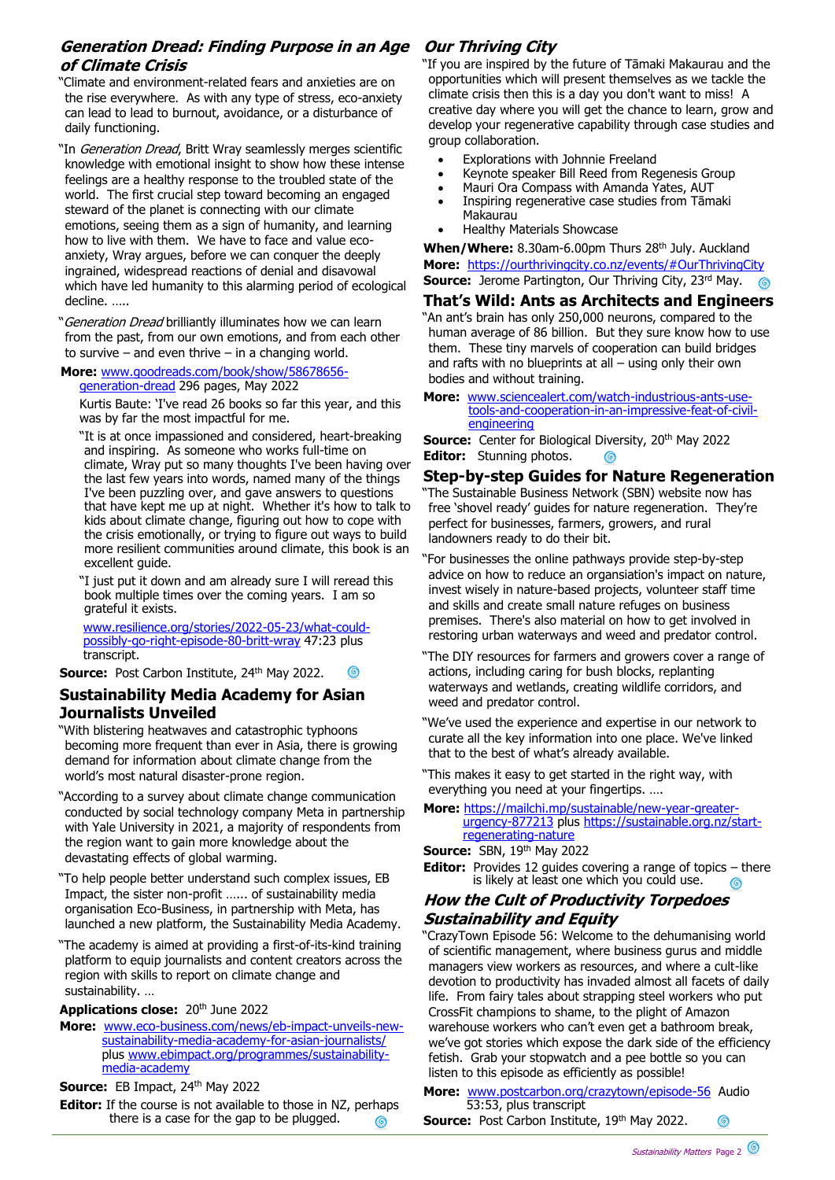## **Generation Dread: Finding Purpose in an Age of Climate Crisis**

"Climate and environment-related fears and anxieties are on the rise everywhere. As with any type of stress, eco-anxiety can lead to lead to burnout, avoidance, or a disturbance of daily functioning.

"In Generation Dread, Britt Wray seamlessly merges scientific knowledge with emotional insight to show how these intense feelings are a healthy response to the troubled state of the world. The first crucial step toward becoming an engaged steward of the planet is connecting with our climate emotions, seeing them as a sign of humanity, and learning how to live with them. We have to face and value ecoanxiety, Wray argues, before we can conquer the deeply ingrained, widespread reactions of denial and disavowal which have led humanity to this alarming period of ecological decline. …..

"Generation Dread brilliantly illuminates how we can learn from the past, from our own emotions, and from each other to survive – and even thrive – in a changing world.

**More:** [www.goodreads.com/book/show/58678656](http://www.goodreads.com/book/show/58678656-generation-dread) [generation-dread](http://www.goodreads.com/book/show/58678656-generation-dread) 296 pages, May 2022

Kurtis Baute: 'I've read 26 books so far this year, and this was by far the most impactful for me.

"It is at once impassioned and considered, heart-breaking and inspiring. As someone who works full-time on climate, Wray put so many thoughts I've been having over the last few years into words, named many of the things I've been puzzling over, and gave answers to questions that have kept me up at night. Whether it's how to talk to kids about climate change, figuring out how to cope with the crisis emotionally, or trying to figure out ways to build more resilient communities around climate, this book is an excellent guide.

"I just put it down and am already sure I will reread this book multiple times over the coming years. I am so grateful it exists.

[www.resilience.org/stories/2022-05-23/what-could](http://www.resilience.org/stories/2022-05-23/what-could-possibly-go-right-episode-80-britt-wray)[possibly-go-right-episode-80-britt-wray](http://www.resilience.org/stories/2022-05-23/what-could-possibly-go-right-episode-80-britt-wray) 47:23 plus transcript.

**Source: Post Carbon Institute, 24th May 2022.**  $\circledcirc$ 

## **Sustainability Media Academy for Asian Journalists Unveiled**

"With blistering heatwaves and catastrophic typhoons becoming more frequent than ever in Asia, there is growing demand for information about climate change from the world's most natural disaster-prone region.

- "According to a survey about climate change communication conducted by social technology company Meta in partnership with Yale University in 2021, a majority of respondents from the region want to gain more knowledge about the devastating effects of global warming.
- "To help people better understand such complex issues, EB Impact, the sister non-profit …... of sustainability media organisation Eco-Business, in partnership with Meta, has launched a new platform, the Sustainability Media Academy.
- "The academy is aimed at providing a first-of-its-kind training platform to equip journalists and content creators across the region with skills to report on climate change and sustainability. …

## Applications close: 20<sup>th</sup> June 2022

**More:** [www.eco-business.com/news/eb-impact-unveils-new](http://www.eco-business.com/news/eb-impact-unveils-new-sustainability-media-academy-for-asian-journalists/)[sustainability-media-academy-for-asian-journalists/](http://www.eco-business.com/news/eb-impact-unveils-new-sustainability-media-academy-for-asian-journalists/) plus [www.ebimpact.org/programmes/sustainability](http://www.ebimpact.org/programmes/sustainability-media-academy)[media-academy](http://www.ebimpact.org/programmes/sustainability-media-academy)

## **Source: EB Impact, 24th May 2022**

**Editor:** If the course is not available to those in NZ, perhaps there is a case for the gap to be plugged. G

# **Our Thriving City**

"If you are inspired by the future of Tāmaki Makaurau and the opportunities which will present themselves as we tackle the climate crisis then this is a day you don't want to miss! A creative day where you will get the chance to learn, grow and develop your regenerative capability through case studies and group collaboration.

- Explorations with Johnnie Freeland
- Keynote speaker Bill Reed from Regenesis Group
- Mauri Ora Compass with Amanda Yates, AUT
- Inspiring regenerative case studies from Tāmaki Makaurau
- Healthy Materials Showcase

When/Where: 8.30am-6.00pm Thurs 28<sup>th</sup> July. Auckland **More:** <https://ourthrivingcity.co.nz/events/#OurThrivingCity> **Source:** Jerome Partington, Our Thriving City, 23rd May.

## **That's Wild: Ants as Architects and Engineers**

"An ant's brain has only 250,000 neurons, compared to the human average of 86 billion. But they sure know how to use them. These tiny marvels of cooperation can build bridges and rafts with no blueprints at all  $-$  using only their own bodies and without training.

**More:** [www.sciencealert.com/watch-industrious-ants-use](http://www.sciencealert.com/watch-industrious-ants-use-tools-and-cooperation-in-an-impressive-feat-of-civil-engineering)[tools-and-cooperation-in-an-impressive-feat-of-civil](http://www.sciencealert.com/watch-industrious-ants-use-tools-and-cooperation-in-an-impressive-feat-of-civil-engineering)[engineering](http://www.sciencealert.com/watch-industrious-ants-use-tools-and-cooperation-in-an-impressive-feat-of-civil-engineering)

**Source:** Center for Biological Diversity, 20<sup>th</sup> May 2022 **Editor:** Stunning photos.

## **Step-by-step Guides for Nature Regeneration**

"The Sustainable Business Network (SBN) website now has free 'shovel ready' guides for nature regeneration. They're perfect for businesses, farmers, growers, and rural landowners ready to do their bit.

"For businesses the online pathways provide step-by-step advice on how to reduce an organsiation's impact on nature, invest wisely in nature-based projects, volunteer staff time and skills and create small nature refuges on business premises. There's also material on how to get involved in restoring urban waterways and weed and predator control.

- "The DIY resources for farmers and growers cover a range of actions, including caring for bush blocks, replanting waterways and wetlands, creating wildlife corridors, and weed and predator control.
- "We've used the experience and expertise in our network to curate all the key information into one place. We've linked that to the best of what's already available.
- "This makes it easy to get started in the right way, with everything you need at your fingertips. ….

#### **More:** [https://mailchi.mp/sustainable/new-year-greater](https://mailchi.mp/sustainable/new-year-greater-urgency-877213)[urgency-877213](https://mailchi.mp/sustainable/new-year-greater-urgency-877213) plus [https://sustainable.org.nz/start](https://sustainable.org.nz/start-regenerating-nature)[regenerating-nature](https://sustainable.org.nz/start-regenerating-nature)

## **Source: SBN, 19th May 2022**

**Editor:** Provides 12 guides covering a range of topics – there is likely at least one which you could use. 6

# **How the Cult of Productivity Torpedoes Sustainability and Equity**

"CrazyTown Episode 56: Welcome to the dehumanising world of scientific management, where business gurus and middle managers view workers as resources, and where a cult-like devotion to productivity has invaded almost all facets of daily life. From fairy tales about strapping steel workers who put CrossFit champions to shame, to the plight of Amazon warehouse workers who can't even get a bathroom break, we've got stories which expose the dark side of the efficiency fetish. Grab your stopwatch and a pee bottle so you can listen to this episode as efficiently as possible!

#### **More:** [www.postcarbon.org/crazytown/episode-56](http://www.postcarbon.org/crazytown/episode-56) Audio 53:53, plus transcript  $\odot$

**Source:** Post Carbon Institute, 19th May 2022.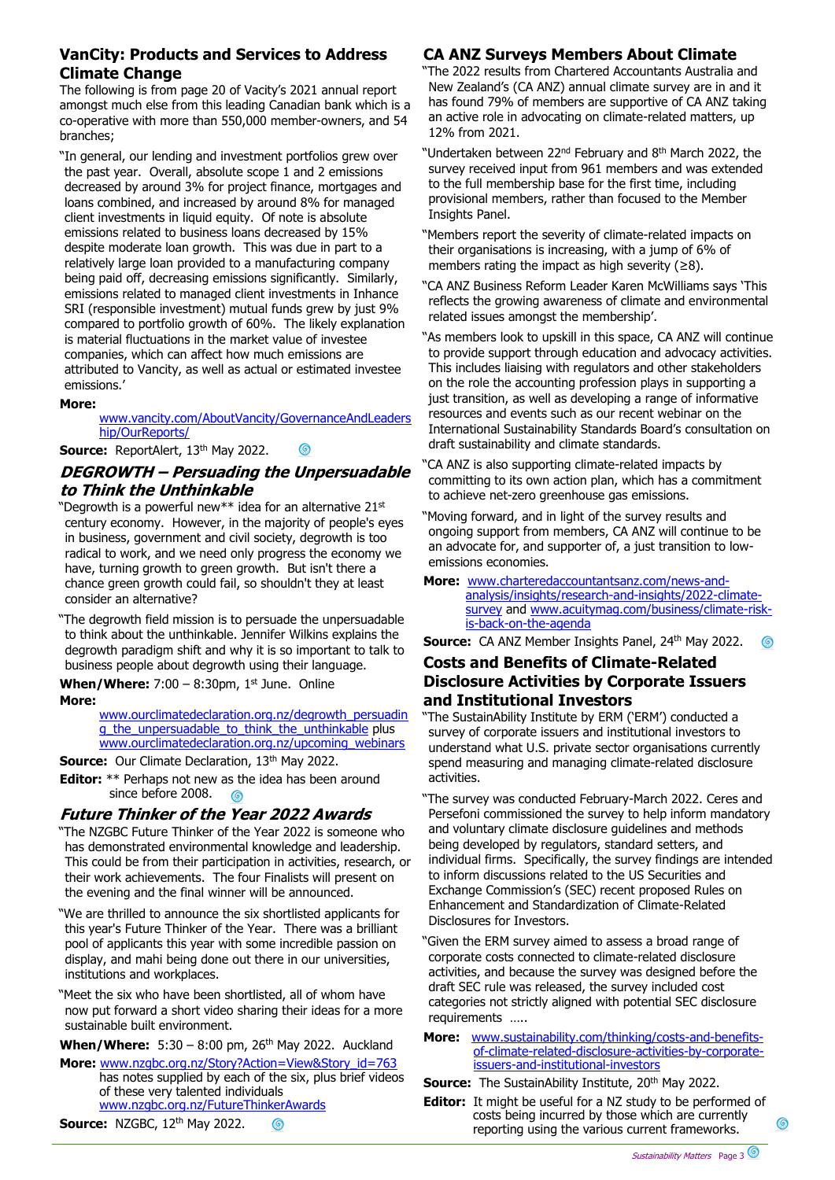## **VanCity: Products and Services to Address Climate Change**

The following is from page 20 of Vacity's 2021 annual report amongst much else from this leading Canadian bank which is a co-operative with more than 550,000 member-owners, and 54 branches;

"In general, our lending and investment portfolios grew over the past year. Overall, absolute scope 1 and 2 emissions decreased by around 3% for project finance, mortgages and loans combined, and increased by around 8% for managed client investments in liquid equity. Of note is absolute emissions related to business loans decreased by 15% despite moderate loan growth. This was due in part to a relatively large loan provided to a manufacturing company being paid off, decreasing emissions significantly. Similarly, emissions related to managed client investments in Inhance SRI (responsible investment) mutual funds grew by just 9% compared to portfolio growth of 60%. The likely explanation is material fluctuations in the market value of investee companies, which can affect how much emissions are attributed to Vancity, as well as actual or estimated investee emissions.'

## **More:**

### [www.vancity.com/AboutVancity/GovernanceAndLeaders](http://www.vancity.com/AboutVancity/GovernanceAndLeadership/OurReports/) [hip/OurReports/](http://www.vancity.com/AboutVancity/GovernanceAndLeadership/OurReports/)

Source: ReportAlert, 13<sup>th</sup> May 2022.

# **DEGROWTH – Persuading the Unpersuadable to Think the Unthinkable**

"Degrowth is a powerful new $**$  idea for an alternative 21 $st$ century economy. However, in the majority of people's eyes in business, government and civil society, degrowth is too radical to work, and we need only progress the economy we have, turning growth to green growth. But isn't there a chance green growth could fail, so shouldn't they at least consider an alternative?

"The degrowth field mission is to persuade the unpersuadable to think about the unthinkable. Jennifer Wilkins explains the degrowth paradigm shift and why it is so important to talk to business people about degrowth using their language.

**When/Where:** 7:00 - 8:30pm, 1<sup>st</sup> June. Online **More:**

[www.ourclimatedeclaration.org.nz/degrowth\\_persuadin](http://www.ourclimatedeclaration.org.nz/degrowth_persuading_the_unpersuadable_to_think_the_unthinkable) [g\\_the\\_unpersuadable\\_to\\_think\\_the\\_unthinkable](http://www.ourclimatedeclaration.org.nz/degrowth_persuading_the_unpersuadable_to_think_the_unthinkable) plus [www.ourclimatedeclaration.org.nz/upcoming\\_webinars](http://www.ourclimatedeclaration.org.nz/upcoming_webinars)

**Source:** Our Climate Declaration, 13<sup>th</sup> May 2022.

**Editor:** \*\* Perhaps not new as the idea has been around since before 2008. ര

## **Future Thinker of the Year 2022 Awards**

"The NZGBC Future Thinker of the Year 2022 is someone who has demonstrated environmental knowledge and leadership. This could be from their participation in activities, research, or their work achievements. The four Finalists will present on the evening and the final winner will be announced.

"We are thrilled to announce the six shortlisted applicants for this year's Future Thinker of the Year. There was a brilliant pool of applicants this year with some incredible passion on display, and mahi being done out there in our universities, institutions and workplaces.

"Meet the six who have been shortlisted, all of whom have now put forward a short video sharing their ideas for a more sustainable built environment.

**When/Where:** 5:30 – 8:00 pm, 26<sup>th</sup> May 2022. Auckland

**More:** [www.nzgbc.org.nz/Story?Action=View&Story\\_id=763](http://www.nzgbc.org.nz/Story?Action=View&Story_id=763) has notes supplied by each of the six, plus brief videos of these very talented individuals [www.nzgbc.org.nz/FutureThinkerAwards](http://www.nzgbc.org.nz/FutureThinkerAwards)

**Source: NZGBC, 12<sup>th</sup> May 2022.**  $\circledS$ 

# **CA ANZ Surveys Members About Climate**

"The 2022 results from Chartered Accountants Australia and New Zealand's (CA ANZ) annual climate survey are in and it has found 79% of members are supportive of CA ANZ taking an active role in advocating on climate-related matters, up 12% from 2021.

"Undertaken between 22<sup>nd</sup> February and 8<sup>th</sup> March 2022, the survey received input from 961 members and was extended to the full membership base for the first time, including provisional members, rather than focused to the Member Insights Panel.

- "Members report the severity of climate-related impacts on their organisations is increasing, with a jump of 6% of members rating the impact as high severity  $(≥8)$ .
- "CA ANZ Business Reform Leader Karen McWilliams says 'This reflects the growing awareness of climate and environmental related issues amongst the membership'.

"As members look to upskill in this space, CA ANZ will continue to provide support through education and advocacy activities. This includes liaising with regulators and other stakeholders on the role the accounting profession plays in supporting a just transition, as well as developing a range of informative resources and events such as our recent webinar on the International Sustainability Standards Board's consultation on draft sustainability and climate standards.

- "CA ANZ is also supporting climate-related impacts by committing to its own action plan, which has a commitment to achieve net-zero greenhouse gas emissions.
- "Moving forward, and in light of the survey results and ongoing support from members, CA ANZ will continue to be an advocate for, and supporter of, a just transition to lowemissions economies.
- **More:** [www.charteredaccountantsanz.com/news-and](http://www.charteredaccountantsanz.com/news-and-analysis/insights/research-and-insights/2022-climate-survey)[analysis/insights/research-and-insights/2022-climate](http://www.charteredaccountantsanz.com/news-and-analysis/insights/research-and-insights/2022-climate-survey)[survey](http://www.charteredaccountantsanz.com/news-and-analysis/insights/research-and-insights/2022-climate-survey) and [www.acuitymag.com/business/climate-risk](http://www.acuitymag.com/business/climate-risk-is-back-on-the-agenda)[is-back-on-the-agenda](http://www.acuitymag.com/business/climate-risk-is-back-on-the-agenda)

**Source:** CA ANZ Member Insights Panel, 24<sup>th</sup> May 2022.

## **Costs and Benefits of Climate-Related Disclosure Activities by Corporate Issuers and Institutional Investors**

"The SustainAbility Institute by ERM ('ERM') conducted a survey of corporate issuers and institutional investors to understand what U.S. private sector organisations currently spend measuring and managing climate-related disclosure activities.

"The survey was conducted February-March 2022. Ceres and Persefoni commissioned the survey to help inform mandatory and voluntary climate disclosure guidelines and methods being developed by regulators, standard setters, and individual firms. Specifically, the survey findings are intended to inform discussions related to the US Securities and Exchange Commission's (SEC) recent proposed Rules on Enhancement and Standardization of Climate-Related Disclosures for Investors.

"Given the ERM survey aimed to assess a broad range of corporate costs connected to climate-related disclosure activities, and because the survey was designed before the draft SEC rule was released, the survey included cost categories not strictly aligned with potential SEC disclosure requirements …..

- **More:** [www.sustainability.com/thinking/costs-and-benefits](http://www.sustainability.com/thinking/costs-and-benefits-of-climate-related-disclosure-activities-by-corporate-issuers-and-institutional-investors)[of-climate-related-disclosure-activities-by-corporate](http://www.sustainability.com/thinking/costs-and-benefits-of-climate-related-disclosure-activities-by-corporate-issuers-and-institutional-investors)[issuers-and-institutional-investors](http://www.sustainability.com/thinking/costs-and-benefits-of-climate-related-disclosure-activities-by-corporate-issuers-and-institutional-investors)
- **Source:** The SustainAbility Institute, 20<sup>th</sup> May 2022.
- **Editor:** It might be useful for a NZ study to be performed of costs being incurred by those which are currently reporting using the various current frameworks.

 $\circledcirc$